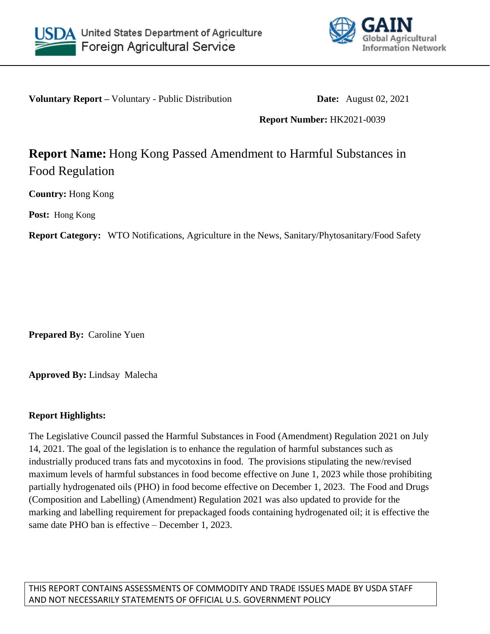



**Voluntary Report –** Voluntary - Public Distribution **Date:** August 02, 2021

**Report Number:** HK2021-0039

## **Report Name:** Hong Kong Passed Amendment to Harmful Substances in Food Regulation

**Country:** Hong Kong

**Post:** Hong Kong

**Report Category:** WTO Notifications, Agriculture in the News, Sanitary/Phytosanitary/Food Safety

**Prepared By:** Caroline Yuen

**Approved By:** Lindsay Malecha

## **Report Highlights:**

The Legislative Council passed the Harmful Substances in Food (Amendment) Regulation 2021 on July 14, 2021. The goal of the legislation is to enhance the regulation of harmful substances such as industrially produced trans fats and mycotoxins in food. The provisions stipulating the new/revised maximum levels of harmful substances in food become effective on June 1, 2023 while those prohibiting partially hydrogenated oils (PHO) in food become effective on December 1, 2023. The Food and Drugs (Composition and Labelling) (Amendment) Regulation 2021 was also updated to provide for the marking and labelling requirement for prepackaged foods containing hydrogenated oil; it is effective the same date PHO ban is effective – December 1, 2023.

THIS REPORT CONTAINS ASSESSMENTS OF COMMODITY AND TRADE ISSUES MADE BY USDA STAFF AND NOT NECESSARILY STATEMENTS OF OFFICIAL U.S. GOVERNMENT POLICY